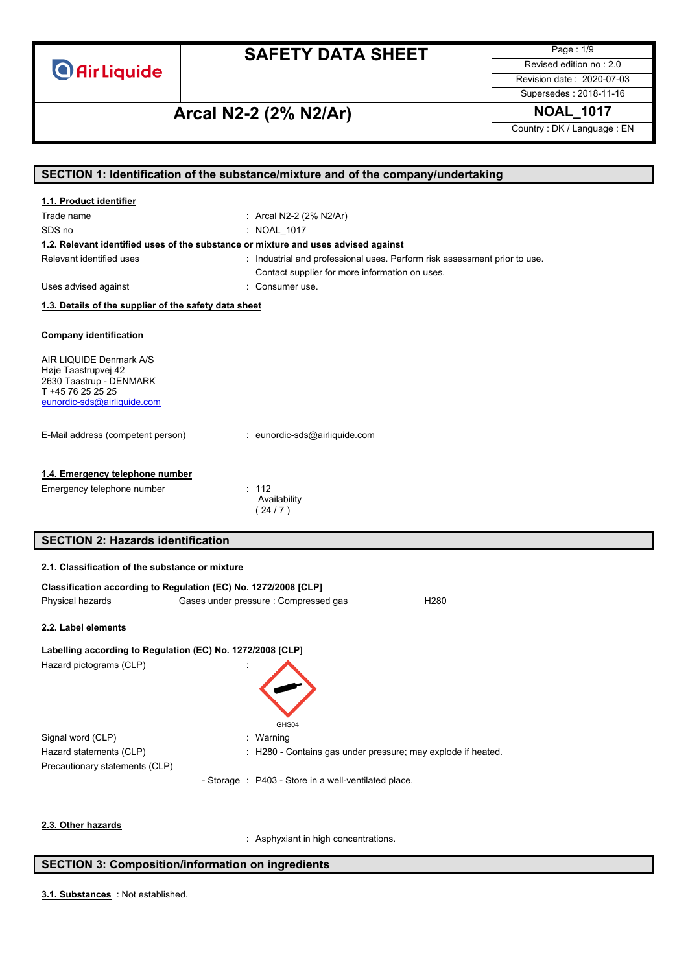

Page : 1/9 Revised edition no : 2.0

Revision date : 2020-07-03 Supersedes : 2018-11-16

# **Arcal N2-2 (2% N2/Ar) NOAL\_1017**

Country : DK / Language : EN

|                                                                 | SECTION 1: Identification of the substance/mixture and of the company/undertaking  |
|-----------------------------------------------------------------|------------------------------------------------------------------------------------|
| 1.1. Product identifier                                         |                                                                                    |
| Trade name                                                      | : Arcal N2-2 (2% N2/Ar)                                                            |
| SDS no                                                          | : NOAL_1017                                                                        |
|                                                                 | 1.2. Relevant identified uses of the substance or mixture and uses advised against |
| Relevant identified uses                                        | : Industrial and professional uses. Perform risk assessment prior to use.          |
|                                                                 | Contact supplier for more information on uses.                                     |
| Uses advised against                                            | : Consumer use.                                                                    |
| 1.3. Details of the supplier of the safety data sheet           |                                                                                    |
|                                                                 |                                                                                    |
| <b>Company identification</b>                                   |                                                                                    |
| AIR LIQUIDE Denmark A/S                                         |                                                                                    |
| Høje Taastrupvej 42                                             |                                                                                    |
| 2630 Taastrup - DENMARK<br>T +45 76 25 25 25                    |                                                                                    |
| eunordic-sds@airliquide.com                                     |                                                                                    |
|                                                                 |                                                                                    |
| E-Mail address (competent person)                               | : eunordic-sds@airliquide.com                                                      |
|                                                                 |                                                                                    |
|                                                                 |                                                                                    |
| 1.4. Emergency telephone number                                 | : 112                                                                              |
| Emergency telephone number                                      | Availability                                                                       |
|                                                                 | (24/7)                                                                             |
|                                                                 |                                                                                    |
| <b>SECTION 2: Hazards identification</b>                        |                                                                                    |
| 2.1. Classification of the substance or mixture                 |                                                                                    |
| Classification according to Regulation (EC) No. 1272/2008 [CLP] |                                                                                    |
| Physical hazards                                                | Gases under pressure : Compressed gas<br>H <sub>280</sub>                          |
|                                                                 |                                                                                    |
| 2.2. Label elements                                             |                                                                                    |
| Labelling according to Regulation (EC) No. 1272/2008 [CLP]      |                                                                                    |
| Hazard pictograms (CLP)                                         |                                                                                    |
|                                                                 |                                                                                    |
|                                                                 |                                                                                    |
|                                                                 |                                                                                    |
|                                                                 | GHS04                                                                              |
| Signal word (CLP)                                               | : Warning                                                                          |
| Hazard statements (CLP)                                         | : H280 - Contains gas under pressure; may explode if heated.                       |
| Precautionary statements (CLP)                                  |                                                                                    |
|                                                                 | - Storage : P403 - Store in a well-ventilated place.                               |
|                                                                 |                                                                                    |
|                                                                 |                                                                                    |
| 2.3. Other hazards                                              | : Asphyxiant in high concentrations.                                               |
|                                                                 |                                                                                    |

### **SECTION 3: Composition/information on ingredients**

: Not established. **3.1. Substances**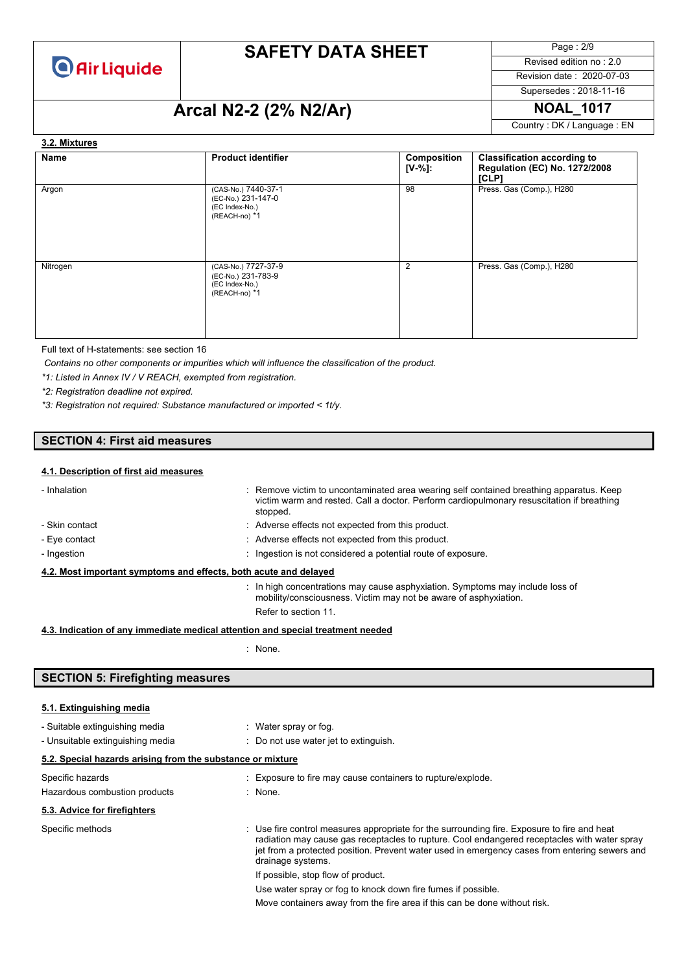

Page : 2/9 Revised edition no : 2.0

Revision date : 2020-07-03

### Supersedes : 2018-11-16

# **Arcal N2-2 (2% N2/Ar) NOAL\_1017**

Country : DK / Language : EN

#### **3.2. Mixtures**

| Name     | <b>Product identifier</b>                                                    | Composition<br>$[V-%]:$ | <b>Classification according to</b><br><b>Regulation (EC) No. 1272/2008</b><br>[CLP] |
|----------|------------------------------------------------------------------------------|-------------------------|-------------------------------------------------------------------------------------|
| Argon    | (CAS-No.) 7440-37-1<br>(EC-No.) 231-147-0<br>(EC Index-No.)<br>(REACH-no) *1 | 98                      | Press. Gas (Comp.), H280                                                            |
| Nitrogen | (CAS-No.) 7727-37-9<br>(EC-No.) 231-783-9<br>(EC Index-No.)<br>(REACH-no) *1 | $\overline{2}$          | Press. Gas (Comp.), H280                                                            |

Full text of H-statements: see section 16

*Contains no other components or impurities which will influence the classification of the product.*

*\*1: Listed in Annex IV / V REACH, exempted from registration.*

*\*2: Registration deadline not expired.*

*\*3: Registration not required: Substance manufactured or imported < 1t/y.*

#### **SECTION 4: First aid measures**

#### **4.1. Description of first aid measures**

| - Inhalation                                                                    | : Remove victim to uncontaminated area wearing self contained breathing apparatus. Keep<br>victim warm and rested. Call a doctor. Perform cardiopulmonary resuscitation if breathing<br>stopped. |
|---------------------------------------------------------------------------------|--------------------------------------------------------------------------------------------------------------------------------------------------------------------------------------------------|
| - Skin contact                                                                  | : Adverse effects not expected from this product.                                                                                                                                                |
| - Eve contact                                                                   | : Adverse effects not expected from this product.                                                                                                                                                |
| - Ingestion                                                                     | : Ingestion is not considered a potential route of exposure.                                                                                                                                     |
| 4.2. Most important symptoms and effects, both acute and delayed                |                                                                                                                                                                                                  |
|                                                                                 | $\therefore$ In high concentrations may cause asphyxiation. Symptoms may include loss of<br>mobility/consciousness. Victim may not be aware of asphyxiation.                                     |
|                                                                                 | Refer to section 11.                                                                                                                                                                             |
| 4.3. Indication of any immediate medical attention and special treatment needed |                                                                                                                                                                                                  |

: None.

#### **SECTION 5: Firefighting measures**

#### **5.1. Extinguishing media**

| - Suitable extinguishing media<br>- Unsuitable extinguishing media | : Water spray or fog.<br>: Do not use water jet to extinguish.                                                                                                                                                                                                                                                    |
|--------------------------------------------------------------------|-------------------------------------------------------------------------------------------------------------------------------------------------------------------------------------------------------------------------------------------------------------------------------------------------------------------|
| 5.2. Special hazards arising from the substance or mixture         |                                                                                                                                                                                                                                                                                                                   |
| Specific hazards<br>Hazardous combustion products                  | : Exposure to fire may cause containers to rupture/explode.<br>$:$ None.                                                                                                                                                                                                                                          |
| 5.3. Advice for firefighters                                       |                                                                                                                                                                                                                                                                                                                   |
| Specific methods                                                   | : Use fire control measures appropriate for the surrounding fire. Exposure to fire and heat<br>radiation may cause gas receptacles to rupture. Cool endangered receptacles with water spray<br>jet from a protected position. Prevent water used in emergency cases from entering sewers and<br>drainage systems. |
|                                                                    | If possible, stop flow of product.                                                                                                                                                                                                                                                                                |
|                                                                    | Use water spray or fog to knock down fire fumes if possible.                                                                                                                                                                                                                                                      |
|                                                                    | Move containers away from the fire area if this can be done without risk.                                                                                                                                                                                                                                         |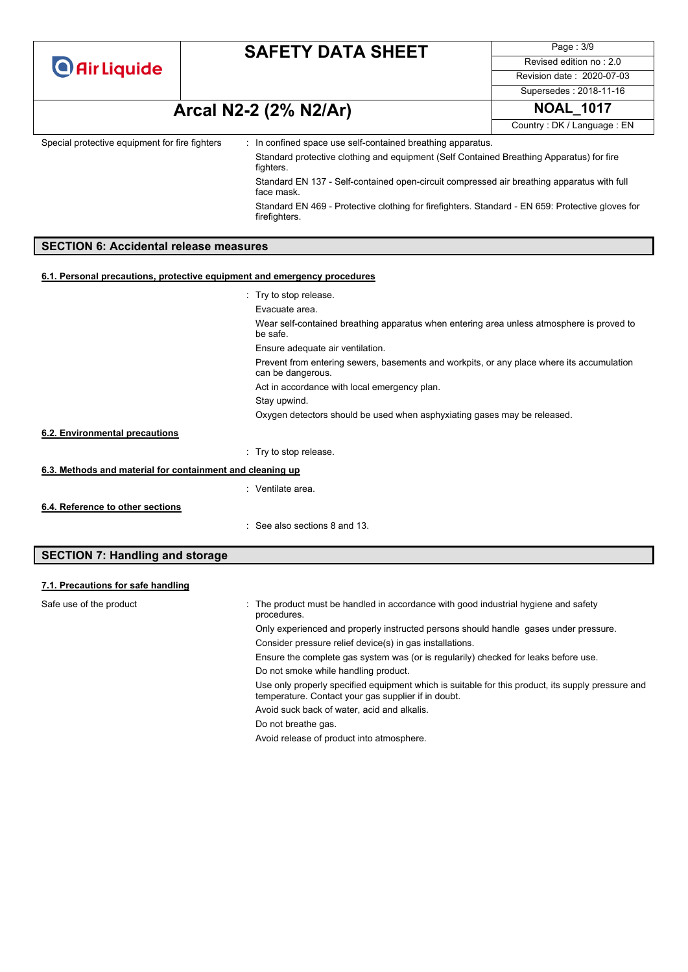| <b>O</b> Air Liquide |  |  |  |
|----------------------|--|--|--|
|                      |  |  |  |

Page : 3/9 Revised edition no : 2.0 Revision date : 2020-07-03

Supersedes : 2018-11-16

## **Arcal N2-2 (2% N2/Ar) NOAL\_1017**

Country : DK / Language : EN Special protective equipment for fire fighters : In confined space use self-contained breathing apparatus. Standard protective clothing and equipment (Self Contained Breathing Apparatus) for fire fighters. Standard EN 137 - Self-contained open-circuit compressed air breathing apparatus with full face mask.

Standard EN 469 - Protective clothing for firefighters. Standard - EN 659: Protective gloves for firefighters.

### **SECTION 6: Accidental release measures**

#### **6.1. Personal precautions, protective equipment and emergency procedures**

|                                                           | : Try to stop release.                                                                                         |
|-----------------------------------------------------------|----------------------------------------------------------------------------------------------------------------|
|                                                           | Evacuate area.                                                                                                 |
|                                                           | Wear self-contained breathing apparatus when entering area unless atmosphere is proved to<br>be safe.          |
|                                                           | Ensure adequate air ventilation.                                                                               |
|                                                           | Prevent from entering sewers, basements and workpits, or any place where its accumulation<br>can be dangerous. |
|                                                           | Act in accordance with local emergency plan.                                                                   |
|                                                           | Stay upwind.                                                                                                   |
|                                                           | Oxygen detectors should be used when asphyxiating gases may be released.                                       |
| 6.2. Environmental precautions                            |                                                                                                                |
|                                                           | : Try to stop release.                                                                                         |
| 6.3. Methods and material for containment and cleaning up |                                                                                                                |
|                                                           | : Ventilate area.                                                                                              |
| 6.4. Reference to other sections                          |                                                                                                                |
|                                                           | : See also sections 8 and 13.                                                                                  |

### **SECTION 7: Handling and storage**

#### **7.1. Precautions for safe handling**

| Safe use of the product | : The product must be handled in accordance with good industrial hygiene and safety<br>procedures.                                                       |
|-------------------------|----------------------------------------------------------------------------------------------------------------------------------------------------------|
|                         | Only experienced and properly instructed persons should handle gases under pressure.                                                                     |
|                         | Consider pressure relief device(s) in gas installations.                                                                                                 |
|                         | Ensure the complete gas system was (or is regularily) checked for leaks before use.                                                                      |
|                         | Do not smoke while handling product.                                                                                                                     |
|                         | Use only properly specified equipment which is suitable for this product, its supply pressure and<br>temperature. Contact your gas supplier if in doubt. |
|                         | Avoid suck back of water, acid and alkalis.                                                                                                              |
|                         | Do not breathe gas.                                                                                                                                      |
|                         | Avoid release of product into atmosphere.                                                                                                                |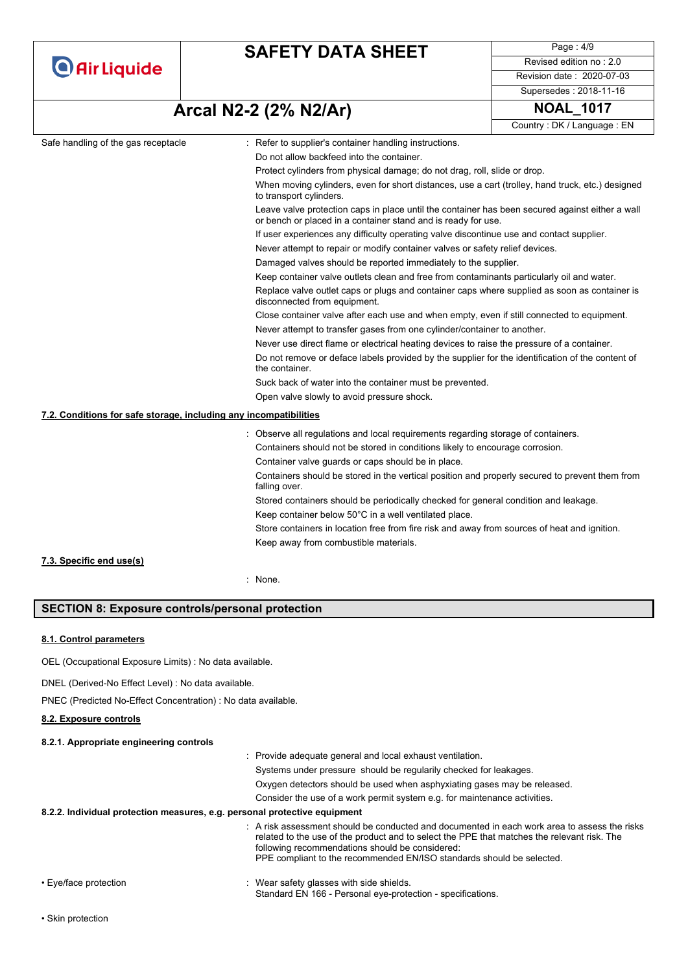| <b>O</b> Air Liquide |  |  |  |  |
|----------------------|--|--|--|--|
|                      |  |  |  |  |

Page : 4/9 Revised edition no : 2.0 Revision date : 2020-07-03 Supersedes : 2018-11-16

**Arcal N2-2 (2% N2/Ar) NOAL\_1017**

Country : DK / Language : EN

I

| Safe handling of the gas receptacle                               | : Refer to supplier's container handling instructions.                                                                                                           |  |  |  |  |
|-------------------------------------------------------------------|------------------------------------------------------------------------------------------------------------------------------------------------------------------|--|--|--|--|
|                                                                   | Do not allow backfeed into the container.                                                                                                                        |  |  |  |  |
|                                                                   | Protect cylinders from physical damage; do not drag, roll, slide or drop.                                                                                        |  |  |  |  |
|                                                                   | When moving cylinders, even for short distances, use a cart (trolley, hand truck, etc.) designed<br>to transport cylinders.                                      |  |  |  |  |
|                                                                   | Leave valve protection caps in place until the container has been secured against either a wall<br>or bench or placed in a container stand and is ready for use. |  |  |  |  |
|                                                                   | If user experiences any difficulty operating valve discontinue use and contact supplier.                                                                         |  |  |  |  |
|                                                                   | Never attempt to repair or modify container valves or safety relief devices.                                                                                     |  |  |  |  |
|                                                                   | Damaged valves should be reported immediately to the supplier.                                                                                                   |  |  |  |  |
|                                                                   | Keep container valve outlets clean and free from contaminants particularly oil and water.                                                                        |  |  |  |  |
|                                                                   | Replace valve outlet caps or plugs and container caps where supplied as soon as container is<br>disconnected from equipment.                                     |  |  |  |  |
|                                                                   | Close container valve after each use and when empty, even if still connected to equipment.                                                                       |  |  |  |  |
|                                                                   | Never attempt to transfer gases from one cylinder/container to another.                                                                                          |  |  |  |  |
|                                                                   | Never use direct flame or electrical heating devices to raise the pressure of a container.                                                                       |  |  |  |  |
|                                                                   | Do not remove or deface labels provided by the supplier for the identification of the content of<br>the container.                                               |  |  |  |  |
|                                                                   | Suck back of water into the container must be prevented.                                                                                                         |  |  |  |  |
|                                                                   | Open valve slowly to avoid pressure shock.                                                                                                                       |  |  |  |  |
| 7.2. Conditions for safe storage, including any incompatibilities |                                                                                                                                                                  |  |  |  |  |
|                                                                   | Observe all regulations and local requirements regarding storage of containers.                                                                                  |  |  |  |  |
|                                                                   | Containers should not be stored in conditions likely to encourage corrosion.                                                                                     |  |  |  |  |
|                                                                   | Container valve guards or caps should be in place.                                                                                                               |  |  |  |  |
|                                                                   | Containers should be stored in the vertical position and properly secured to prevent them from<br>falling over.                                                  |  |  |  |  |
|                                                                   | Stored containers should be periodically checked for general condition and leakage.                                                                              |  |  |  |  |
|                                                                   | Keep container below 50°C in a well ventilated place.                                                                                                            |  |  |  |  |
|                                                                   | Store containers in location free from fire risk and away from sources of heat and ignition.                                                                     |  |  |  |  |
|                                                                   | Keep away from combustible materials.                                                                                                                            |  |  |  |  |
| 7.3. Specific end use(s)                                          |                                                                                                                                                                  |  |  |  |  |

: None.

### **SECTION 8: Exposure controls/personal protection**

### **8.1. Control parameters**

OEL (Occupational Exposure Limits) : No data available.

DNEL (Derived-No Effect Level) : No data available.

PNEC (Predicted No-Effect Concentration) : No data available.

### **8.2. Exposure controls**

### **8.2.1. Appropriate engineering controls**

|                                                                           | : Provide adequate general and local exhaust ventilation.                                                                                                                                                                                                                                                                          |
|---------------------------------------------------------------------------|------------------------------------------------------------------------------------------------------------------------------------------------------------------------------------------------------------------------------------------------------------------------------------------------------------------------------------|
|                                                                           | Systems under pressure should be regularily checked for leakages.                                                                                                                                                                                                                                                                  |
|                                                                           | Oxygen detectors should be used when asphyxiating gases may be released.                                                                                                                                                                                                                                                           |
|                                                                           | Consider the use of a work permit system e.g. for maintenance activities.                                                                                                                                                                                                                                                          |
| 8.2.2. Individual protection measures, e.g. personal protective equipment |                                                                                                                                                                                                                                                                                                                                    |
|                                                                           | $\therefore$ A risk assessment should be conducted and documented in each work area to assess the risks<br>related to the use of the product and to select the PPE that matches the relevant risk. The<br>following recommendations should be considered:<br>PPE compliant to the recommended EN/ISO standards should be selected. |
| $\Gamma$ ualface protoction                                               | $\cdot$ Moss safety sloppes with side abjoids.                                                                                                                                                                                                                                                                                     |

• Eye/face protection **in the set of the set of the set of the set of the set of the shields** beginning to the shields. Standard EN 166 - Personal eye-protection - specifications.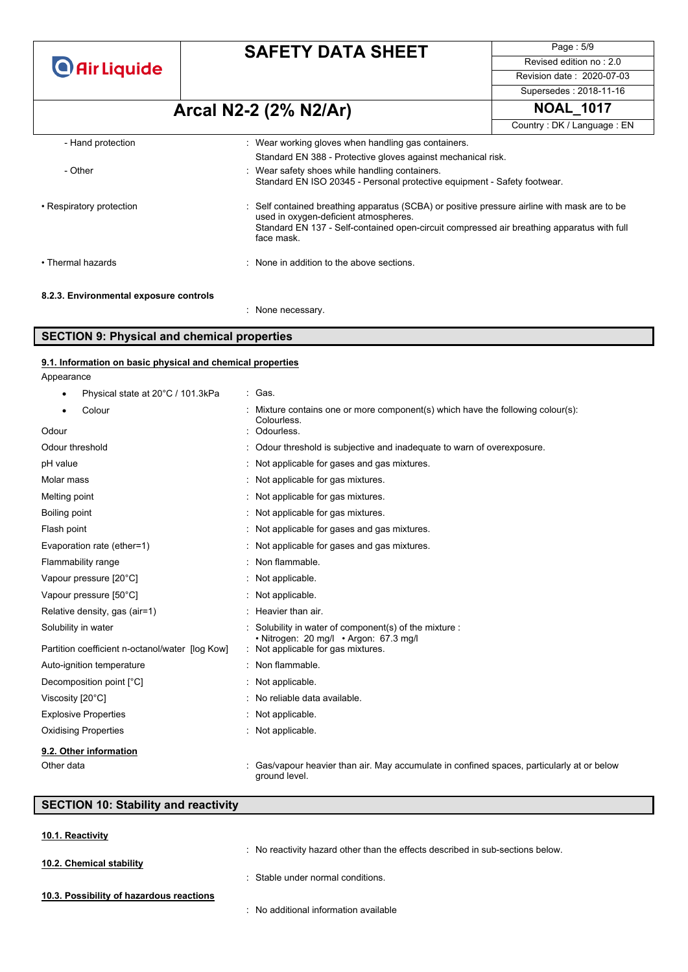**O** Air Liquide

### **SAFETY DATA SHEET**

Page : 5/9 Revised edition no : 2.0 Revision date : 2020-07-03

Supersedes : 2018-11-16

## **Arcal N2-2 (2% N2/Ar) NOAL\_1017**

|                                        |                                                                                                                                                                                                                                                   | Country: DK / Language: EN |
|----------------------------------------|---------------------------------------------------------------------------------------------------------------------------------------------------------------------------------------------------------------------------------------------------|----------------------------|
| - Hand protection                      | : Wear working gloves when handling gas containers.                                                                                                                                                                                               |                            |
|                                        | Standard EN 388 - Protective gloves against mechanical risk.                                                                                                                                                                                      |                            |
| - Other                                | : Wear safety shoes while handling containers.<br>Standard EN ISO 20345 - Personal protective equipment - Safety footwear.                                                                                                                        |                            |
| • Respiratory protection               | : Self contained breathing apparatus (SCBA) or positive pressure airline with mask are to be<br>used in oxygen-deficient atmospheres.<br>Standard EN 137 - Self-contained open-circuit compressed air breathing apparatus with full<br>face mask. |                            |
| • Thermal hazards                      | : None in addition to the above sections.                                                                                                                                                                                                         |                            |
| 8.2.3. Environmental exposure controls |                                                                                                                                                                                                                                                   |                            |

#### **8.2.3. Environmental exposure controls**

: None necessary.

#### **SECTION 9: Physical and chemical properties**

Appearance **9.1. Information on basic physical and chemical properties**

| Appearance                                      |                                                                                                           |
|-------------------------------------------------|-----------------------------------------------------------------------------------------------------------|
| Physical state at 20°C / 101.3kPa               | : Gas.                                                                                                    |
| Colour<br>٠                                     | Mixture contains one or more component(s) which have the following colour(s):                             |
| Odour                                           | Colourless.<br>Odourless.                                                                                 |
| Odour threshold                                 | : Odour threshold is subjective and inadequate to warn of overexposure.                                   |
| pH value                                        | Not applicable for gases and gas mixtures.                                                                |
| Molar mass                                      | Not applicable for gas mixtures.                                                                          |
| Melting point                                   | Not applicable for gas mixtures.                                                                          |
| Boiling point                                   | Not applicable for gas mixtures.                                                                          |
| Flash point                                     | Not applicable for gases and gas mixtures.                                                                |
| Evaporation rate (ether=1)                      | Not applicable for gases and gas mixtures.                                                                |
| Flammability range                              | Non flammable.                                                                                            |
| Vapour pressure [20°C]                          | Not applicable.                                                                                           |
| Vapour pressure [50°C]                          | Not applicable.                                                                                           |
| Relative density, gas (air=1)                   | Heavier than air.                                                                                         |
| Solubility in water                             | Solubility in water of component(s) of the mixture :<br>• Nitrogen: 20 mg/l • Argon: 67.3 mg/l            |
| Partition coefficient n-octanol/water [log Kow] | Not applicable for gas mixtures.                                                                          |
| Auto-ignition temperature                       | Non flammable.                                                                                            |
| Decomposition point [°C]                        | Not applicable.                                                                                           |
| Viscosity [20°C]                                | No reliable data available.                                                                               |
| <b>Explosive Properties</b>                     | Not applicable.                                                                                           |
| <b>Oxidising Properties</b>                     | Not applicable.                                                                                           |
| 9.2. Other information                          |                                                                                                           |
| Other data                                      | Gas/vapour heavier than air. May accumulate in confined spaces, particularly at or below<br>ground level. |

### : No reactivity hazard other than the effects described in sub-sections below. : Stable under normal conditions. : No additional information available **10.1. Reactivity 10.2. Chemical stability 10.3. Possibility of hazardous reactions**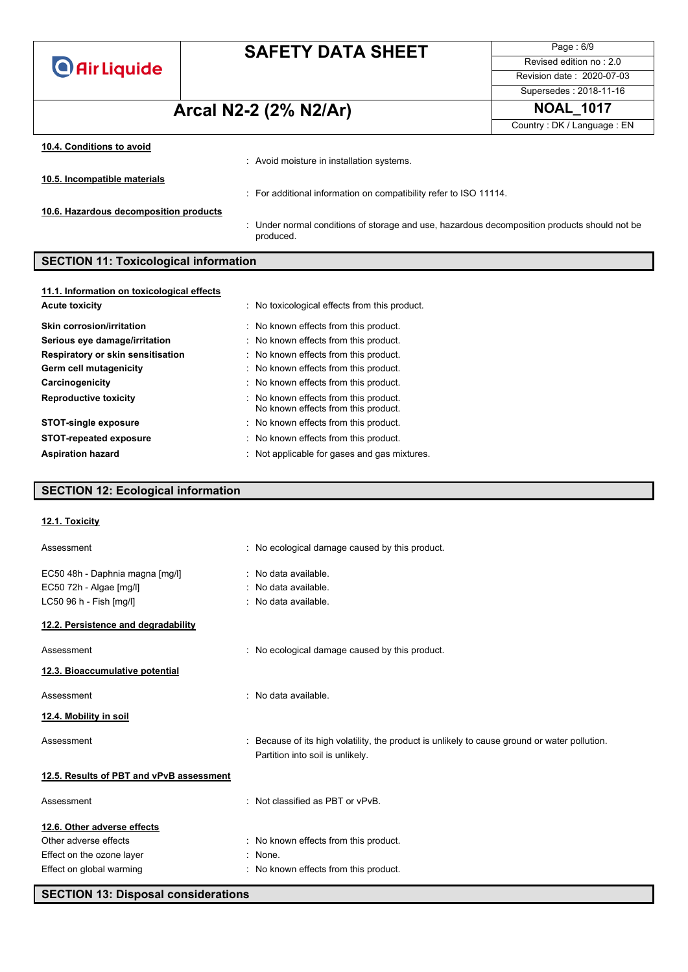**O** Air Liquide

### **SAFETY DATA SHEET**

Page : 6/9 Revised edition no : 2.0 Revision date : 2020-07-03 Supersedes : 2018-11-16

# **Arcal N2-2 (2% N2/Ar) NOAL\_1017**

Country : DK / Language : EN

| 10.4. Conditions to avoid              |                                                                                                         |
|----------------------------------------|---------------------------------------------------------------------------------------------------------|
|                                        | : Avoid moisture in installation systems.                                                               |
| 10.5. Incompatible materials           |                                                                                                         |
|                                        | : For additional information on compatibility refer to ISO 11114.                                       |
| 10.6. Hazardous decomposition products |                                                                                                         |
|                                        | Under normal conditions of storage and use, hazardous decomposition products should not be<br>produced. |

### **SECTION 11: Toxicological information**

| 11.1. Information on toxicological effects |                                                                              |
|--------------------------------------------|------------------------------------------------------------------------------|
| <b>Acute toxicity</b>                      | : No toxicological effects from this product.                                |
| Skin corrosion/irritation                  | : No known effects from this product.                                        |
| Serious eye damage/irritation              | : No known effects from this product.                                        |
| Respiratory or skin sensitisation          | : No known effects from this product.                                        |
| Germ cell mutagenicity                     | : No known effects from this product.                                        |
| Carcinogenicity                            | : No known effects from this product.                                        |
| <b>Reproductive toxicity</b>               | : No known effects from this product.<br>No known effects from this product. |
| <b>STOT-single exposure</b>                | : No known effects from this product.                                        |
| <b>STOT-repeated exposure</b>              | : No known effects from this product.                                        |
| <b>Aspiration hazard</b>                   | : Not applicable for gases and gas mixtures.                                 |

### **SECTION 12: Ecological information**

| 12.1. Toxicity                           |                                                                                                                                   |
|------------------------------------------|-----------------------------------------------------------------------------------------------------------------------------------|
| Assessment                               | : No ecological damage caused by this product.                                                                                    |
| EC50 48h - Daphnia magna [mg/l]          | : No data available.                                                                                                              |
| EC50 72h - Algae [mg/l]                  | : No data available.                                                                                                              |
| LC50 96 h - Fish [mg/l]                  | : No data available.                                                                                                              |
| 12.2. Persistence and degradability      |                                                                                                                                   |
| Assessment                               | : No ecological damage caused by this product.                                                                                    |
| 12.3. Bioaccumulative potential          |                                                                                                                                   |
| Assessment                               | : No data available.                                                                                                              |
| 12.4. Mobility in soil                   |                                                                                                                                   |
| Assessment                               | : Because of its high volatility, the product is unlikely to cause ground or water pollution.<br>Partition into soil is unlikely. |
| 12.5. Results of PBT and vPvB assessment |                                                                                                                                   |
| Assessment                               | : Not classified as PBT or vPvB.                                                                                                  |
| 12.6. Other adverse effects              |                                                                                                                                   |
| Other adverse effects                    | : No known effects from this product.                                                                                             |
| Effect on the ozone layer                | : None                                                                                                                            |
| Effect on global warming                 | : No known effects from this product.                                                                                             |
|                                          |                                                                                                                                   |

**SECTION 13: Disposal considerations**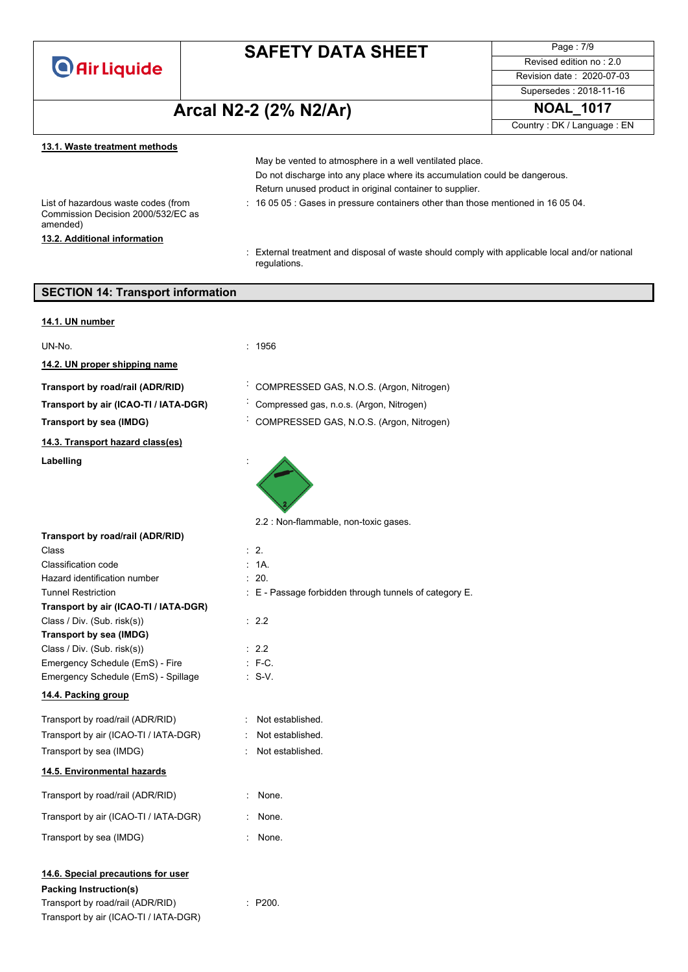

Page : 7/9 Revised edition no : 2.0 Revision date : 2020-07-03

# $\overline{A}$ rcal N2-2 (2% N2/Ar)

| Supersedes: 2018-11-16 |  |
|------------------------|--|
| <b>NOAL 1017</b>       |  |

Country : DK / Language : EN

Transport by air (ICAO-TI / IATA-DGR)

|                                                                                       | May be vented to atmosphere in a well ventilated place.                                                        |
|---------------------------------------------------------------------------------------|----------------------------------------------------------------------------------------------------------------|
|                                                                                       | Do not discharge into any place where its accumulation could be dangerous.                                     |
|                                                                                       | Return unused product in original container to supplier.                                                       |
| List of hazardous waste codes (from<br>Commission Decision 2000/532/EC as<br>amended) | $\div$ 16 05 05 $\div$ Gases in pressure containers other than those mentioned in 16 05 04.                    |
| 13.2. Additional information                                                          |                                                                                                                |
|                                                                                       | : External treatment and disposal of waste should comply with applicable local and/or national<br>regulations. |
| <b>SECTION 14: Transport information</b>                                              |                                                                                                                |
| 14.1. UN number                                                                       |                                                                                                                |

| UN-No.                                                                                           | : 1956                                                     |
|--------------------------------------------------------------------------------------------------|------------------------------------------------------------|
| 14.2. UN proper shipping name                                                                    |                                                            |
| Transport by road/rail (ADR/RID)                                                                 | COMPRESSED GAS, N.O.S. (Argon, Nitrogen)                   |
| Transport by air (ICAO-TI / IATA-DGR)                                                            | Compressed gas, n.o.s. (Argon, Nitrogen)                   |
| Transport by sea (IMDG)                                                                          | COMPRESSED GAS, N.O.S. (Argon, Nitrogen)                   |
| 14.3. Transport hazard class(es)                                                                 |                                                            |
| Labelling                                                                                        |                                                            |
|                                                                                                  | 2.2 : Non-flammable, non-toxic gases.                      |
| Transport by road/rail (ADR/RID)                                                                 |                                                            |
| Class                                                                                            | $\therefore$ 2.                                            |
| Classification code                                                                              | : 1A.                                                      |
| Hazard identification number                                                                     | : 20.                                                      |
| <b>Tunnel Restriction</b>                                                                        | $\pm$ E - Passage forbidden through tunnels of category E. |
| Transport by air (ICAO-TI / IATA-DGR)                                                            |                                                            |
| Class / Div. (Sub. risk(s))                                                                      | : 2.2                                                      |
| Transport by sea (IMDG)                                                                          |                                                            |
| Class / Div. (Sub. risk(s))                                                                      | : 2.2                                                      |
| Emergency Schedule (EmS) - Fire                                                                  | $\therefore$ F-C.                                          |
| Emergency Schedule (EmS) - Spillage                                                              | $: S-V.$                                                   |
| 14.4. Packing group                                                                              |                                                            |
| Transport by road/rail (ADR/RID)                                                                 | : Not established.                                         |
| Transport by air (ICAO-TI / IATA-DGR)                                                            | : Not established.                                         |
| Transport by sea (IMDG)                                                                          | Not established.                                           |
| 14.5. Environmental hazards                                                                      |                                                            |
| Transport by road/rail (ADR/RID)                                                                 | None.                                                      |
| Transport by air (ICAO-TI / IATA-DGR)                                                            | $:$ None.                                                  |
| Transport by sea (IMDG)                                                                          | : None.                                                    |
| 14.6. Special precautions for user<br>Packing Instruction(s)<br>Transport by road/rail (ADR/RID) | : P200.                                                    |
|                                                                                                  |                                                            |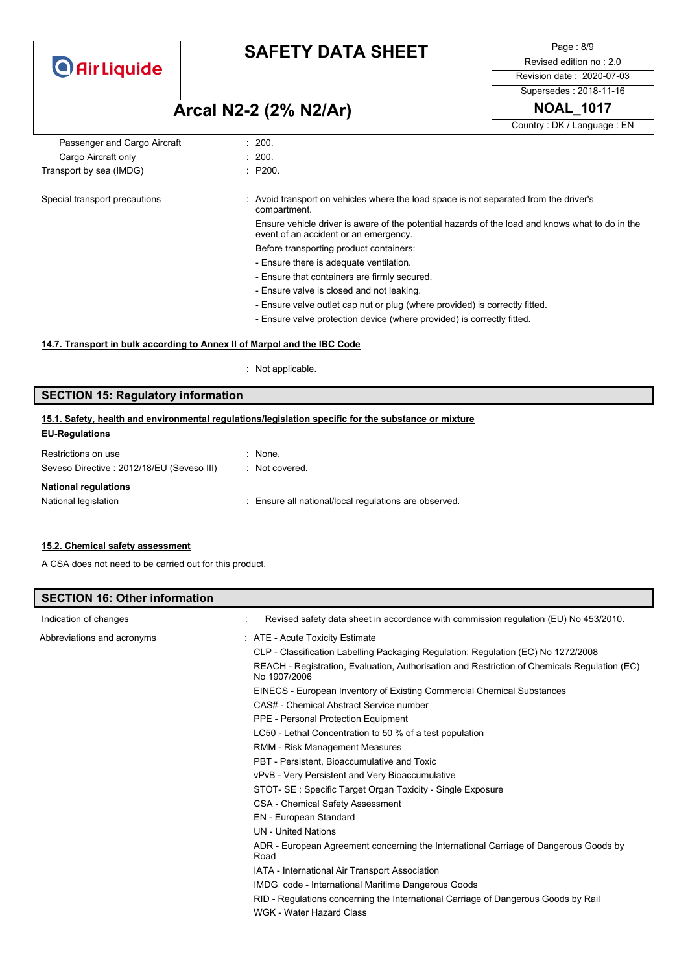

Page : 8/9 Revised edition no : 2.0 Revision date : 2020-07-03

Supersedes : 2018-11-16

## **Arcal N2-2 (2% N2/Ar) NOAL\_1017**

|                               |                                                                                                                                          | Country: DK / Language: EN |
|-------------------------------|------------------------------------------------------------------------------------------------------------------------------------------|----------------------------|
| Passenger and Cargo Aircraft  | : 200.                                                                                                                                   |                            |
| Cargo Aircraft only           | : 200.                                                                                                                                   |                            |
| Transport by sea (IMDG)       | : P200.                                                                                                                                  |                            |
| Special transport precautions | Avoid transport on vehicles where the load space is not separated from the driver's<br>compartment.                                      |                            |
|                               | Ensure vehicle driver is aware of the potential hazards of the load and knows what to do in the<br>event of an accident or an emergency. |                            |
|                               | Before transporting product containers:                                                                                                  |                            |
|                               | - Ensure there is adequate ventilation.                                                                                                  |                            |
|                               | - Ensure that containers are firmly secured.                                                                                             |                            |
|                               | - Ensure valve is closed and not leaking.                                                                                                |                            |
|                               | - Ensure valve outlet cap nut or plug (where provided) is correctly fitted.                                                              |                            |
|                               | - Ensure valve protection device (where provided) is correctly fitted.                                                                   |                            |

#### **14.7. Transport in bulk according to Annex II of Marpol and the IBC Code**

: Not applicable.

#### **SECTION 15: Regulatory information**

#### **EU-Regulations 15.1. Safety, health and environmental regulations/legislation specific for the substance or mixture**

| Restrictions on use                                                      | $:$ None.                                             |
|--------------------------------------------------------------------------|-------------------------------------------------------|
| Seveso Directive: 2012/18/EU (Seveso III)<br><b>National regulations</b> | : Not covered.                                        |
| National legislation                                                     | : Ensure all national/local regulations are observed. |

#### **15.2. Chemical safety assessment**

A CSA does not need to be carried out for this product.

| <b>SECTION 16: Other information</b> |                                                                                                              |
|--------------------------------------|--------------------------------------------------------------------------------------------------------------|
| Indication of changes                | Revised safety data sheet in accordance with commission regulation (EU) No 453/2010.                         |
| Abbreviations and acronyms           | : ATE - Acute Toxicity Estimate                                                                              |
|                                      | CLP - Classification Labelling Packaging Regulation; Regulation (EC) No 1272/2008                            |
|                                      | REACH - Registration, Evaluation, Authorisation and Restriction of Chemicals Regulation (EC)<br>No 1907/2006 |
|                                      | EINECS - European Inventory of Existing Commercial Chemical Substances                                       |
|                                      | CAS# - Chemical Abstract Service number                                                                      |
|                                      | PPE - Personal Protection Equipment                                                                          |
|                                      | LC50 - Lethal Concentration to 50 % of a test population                                                     |
|                                      | RMM - Risk Management Measures                                                                               |
|                                      | PBT - Persistent, Bioaccumulative and Toxic                                                                  |
|                                      | vPvB - Very Persistent and Very Bioaccumulative                                                              |
|                                      | STOT- SE : Specific Target Organ Toxicity - Single Exposure                                                  |
|                                      | <b>CSA - Chemical Safety Assessment</b>                                                                      |
|                                      | EN - European Standard                                                                                       |
|                                      | <b>UN</b> - United Nations                                                                                   |
|                                      | ADR - European Agreement concerning the International Carriage of Dangerous Goods by<br>Road                 |
|                                      | IATA - International Air Transport Association                                                               |
|                                      | IMDG code - International Maritime Dangerous Goods                                                           |
|                                      | RID - Regulations concerning the International Carriage of Dangerous Goods by Rail                           |
|                                      | WGK - Water Hazard Class                                                                                     |
|                                      |                                                                                                              |